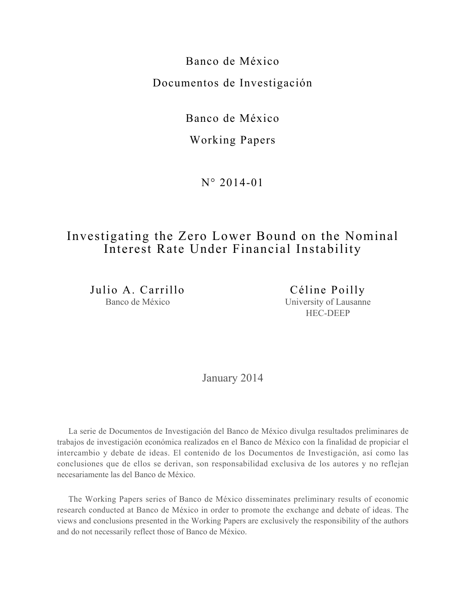Banco de México Documentos de Investigación

Banco de México

## Working Papers

N° 2014-01

# Investigating the Zero Lower Bound on the Nominal Interest Rate Under Financial Instability

Julio A. Carrillo Banco de México

Céline Poilly University of Lausanne HEC-DEEP

January 2014

La serie de Documentos de Investigación del Banco de México divulga resultados preliminares de trabajos de investigación económica realizados en el Banco de México con la finalidad de propiciar el intercambio y debate de ideas. El contenido de los Documentos de Investigación, así como las conclusiones que de ellos se derivan, son responsabilidad exclusiva de los autores y no reflejan necesariamente las del Banco de México.

The Working Papers series of Banco de México disseminates preliminary results of economic research conducted at Banco de México in order to promote the exchange and debate of ideas. The views and conclusions presented in the Working Papers are exclusively the responsibility of the authors and do not necessarily reflect those of Banco de México.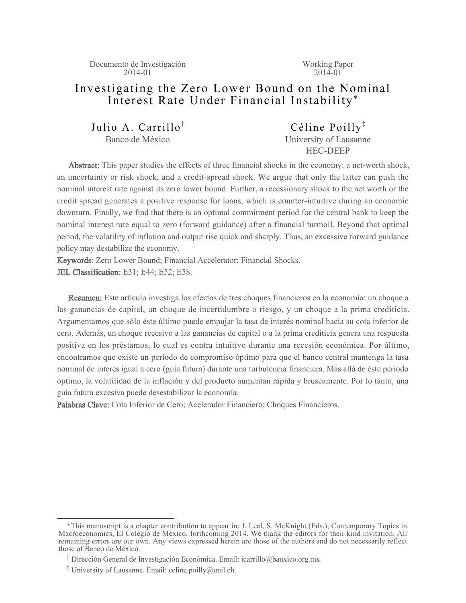Documento de Investigación 2014-01

Working Paper  $201\bar{4} - 01$ 

## Investigating the Zero Lower Bound on the Nominal Interest Rate Under Financial Instability\*

Julio A. Carrillo<sup>†</sup> Banco de México

Céline Poilly<sup> $\ddagger$ </sup> University of Lausanne HEC-DEEP

Abstract: This paper studies the effects of three financial shocks in the economy: a net-worth shock, an uncertainty or risk shock, and a credit-spread shock. We argue that only the latter can push the nominal interest rate against its zero lower bound. Further, a recessionary shock to the net worth or the credit spread generates a positive response for loans, which is counter-intuitive during an economic downturn. Finally, we find that there is an optimal commitment period for the central bank to keep the nominal interest rate equal to zero (forward guidance) after a financial turmoil. Beyond that optimal period, the volatility of inflation and output rise quick and sharply. Thus, an excessive forward guidance policy may destabilize the economy.

Keywords: Zero Lower Bound; Financial Accelerator; Financial Shocks. JEL Classification: E31; E44; E52; E58.

Resumen: Este artículo investiga los efectos de tres choques financieros en la economía: un choque a las ganancias de capital, un choque de incertidumbre o riesgo, y un choque a la prima crediticia. Argumentamos que sólo éste último puede empujar la tasa de interés nominal hacia su cota inferior de cero. Además, un choque recesivo a las ganancias de capital o a la prima crediticia genera una respuesta positiva en los préstamos, lo cual es contra intuitivo durante una recesión económica. Por último, encontramos que existe un periodo de compromiso óptimo para que el banco central mantenga la tasa nominal de interés igual a cero (guía futura) durante una turbulencia financiera. Más allá de éste periodo óptimo, la volatilidad de la inflación y del producto aumentan rápida y bruscamente. Por lo tanto, una guía futura excesiva puede desestabilizar la economía.

Palabras Clave: Cota Inferior de Cero; Acelerador Financiero; Choques Financieros.

 <sup>\*</sup>This manuscript is a chapter contribution to appear in: J. Leal, S. McKnight (Eds.), Contemporary Topics in Macroeconomics, El Colegio de México, forthcoming 2014. We thank the editors for their kind invitation. All remaining errors are our own. Any views expressed herein are those of the authors and do not necessarily reflect those of Banco de México.

<sup>&</sup>lt;sup>T</sup> Dirección General de Investigación Económica. Email: jcarrillo@banxico.org.mx.

<sup>&</sup>lt;sup>‡</sup> University of Lausanne. Email: celine.poilly@unil.ch.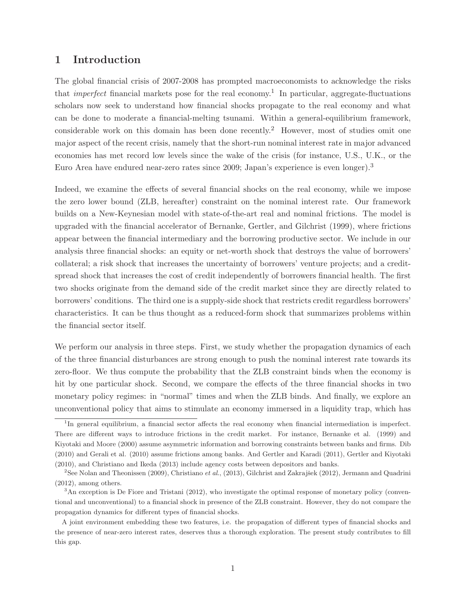## **1 Introduction**

The global financial crisis of 2007-2008 has prompted macroeconomists to acknowledge the risks that *imperfect* financial markets pose for the real economy.<sup>1</sup> In particular, aggregate-fluctuations scholars now seek to understand how financial shocks propagate to the real economy and what can be done to moderate a financial-melting tsunami. Within a general-equilibrium framework, considerable work on this domain has been done recently.<sup>2</sup> However, most of studies omit one major aspect of the recent crisis, namely that the short-run nominal interest rate in major advanced economies has met record low levels since the wake of the crisis (for instance, U.S., U.K., or the Euro Area have endured near-zero rates since 2009; Japan's experience is even longer).<sup>3</sup>

Indeed, we examine the effects of several financial shocks on the real economy, while we impose the zero lower bound (ZLB, hereafter) constraint on the nominal interest rate. Our framework builds on a New-Keynesian model with state-of-the-art real and nominal frictions. The model is upgraded with the financial accelerator of Bernanke, Gertler, and Gilchrist (1999), where frictions appear between the financial intermediary and the borrowing productive sector. We include in our analysis three financial shocks: an equity or net-worth shock that destroys the value of borrowers' collateral; a risk shock that increases the uncertainty of borrowers' venture projects; and a creditspread shock that increases the cost of credit independently of borrowers financial health. The first two shocks originate from the demand side of the credit market since they are directly related to borrowers' conditions. The third one is a supply-side shock that restricts credit regardless borrowers' characteristics. It can be thus thought as a reduced-form shock that summarizes problems within the financial sector itself.

We perform our analysis in three steps. First, we study whether the propagation dynamics of each of the three financial disturbances are strong enough to push the nominal interest rate towards its zero-floor. We thus compute the probability that the ZLB constraint binds when the economy is hit by one particular shock. Second, we compare the effects of the three financial shocks in two monetary policy regimes: in "normal" times and when the ZLB binds. And finally, we explore an unconventional policy that aims to stimulate an economy immersed in a liquidity trap, which has

<sup>&</sup>lt;sup>1</sup>In general equilibrium, a financial sector affects the real economy when financial intermediation is imperfect. There are different ways to introduce frictions in the credit market. For instance, Bernanke et al. (1999) and Kiyotaki and Moore (2000) assume asymmetric information and borrowing constraints between banks and firms. Dib (2010) and Gerali et al. (2010) assume frictions among banks. And Gertler and Karadi (2011), Gertler and Kiyotaki (2010), and Christiano and Ikeda (2013) include agency costs between depositors and banks.

<sup>&</sup>lt;sup>2</sup>See Nolan and Theonissen (2009), Christiano et al., (2013), Gilchrist and Zakrajšek (2012), Jermann and Quadrini (2012), among others.

<sup>&</sup>lt;sup>3</sup>An exception is De Fiore and Tristani (2012), who investigate the optimal response of monetary policy (conventional and unconventional) to a financial shock in presence of the ZLB constraint. However, they do not compare the propagation dynamics for different types of financial shocks.

A joint environment embedding these two features, i.e. the propagation of different types of financial shocks and the presence of near-zero interest rates, deserves thus a thorough exploration. The present study contributes to fill this gap.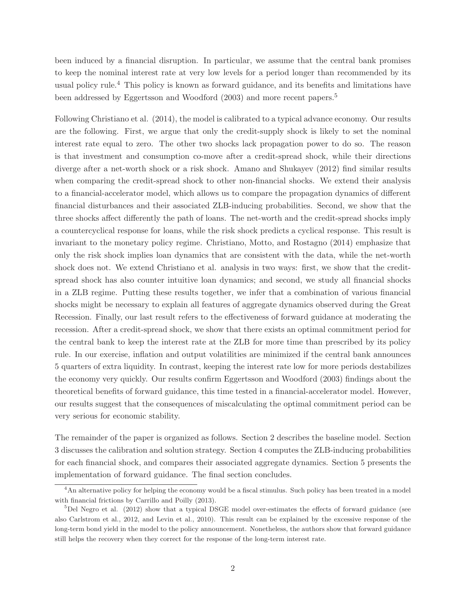been induced by a financial disruption. In particular, we assume that the central bank promises to keep the nominal interest rate at very low levels for a period longer than recommended by its usual policy rule.<sup>4</sup> This policy is known as forward guidance, and its benefits and limitations have been addressed by Eggertsson and Woodford (2003) and more recent papers.<sup>5</sup>

Following Christiano et al. (2014), the model is calibrated to a typical advance economy. Our results are the following. First, we argue that only the credit-supply shock is likely to set the nominal interest rate equal to zero. The other two shocks lack propagation power to do so. The reason is that investment and consumption co-move after a credit-spread shock, while their directions diverge after a net-worth shock or a risk shock. Amano and Shukayev (2012) find similar results when comparing the credit-spread shock to other non-financial shocks. We extend their analysis to a financial-accelerator model, which allows us to compare the propagation dynamics of different financial disturbances and their associated ZLB-inducing probabilities. Second, we show that the three shocks affect differently the path of loans. The net-worth and the credit-spread shocks imply a countercyclical response for loans, while the risk shock predicts a cyclical response. This result is invariant to the monetary policy regime. Christiano, Motto, and Rostagno (2014) emphasize that only the risk shock implies loan dynamics that are consistent with the data, while the net-worth shock does not. We extend Christiano et al. analysis in two ways: first, we show that the creditspread shock has also counter intuitive loan dynamics; and second, we study all financial shocks in a ZLB regime. Putting these results together, we infer that a combination of various financial shocks might be necessary to explain all features of aggregate dynamics observed during the Great Recession. Finally, our last result refers to the effectiveness of forward guidance at moderating the recession. After a credit-spread shock, we show that there exists an optimal commitment period for the central bank to keep the interest rate at the ZLB for more time than prescribed by its policy rule. In our exercise, inflation and output volatilities are minimized if the central bank announces 5 quarters of extra liquidity. In contrast, keeping the interest rate low for more periods destabilizes the economy very quickly. Our results confirm Eggertsson and Woodford (2003) findings about the theoretical benefits of forward guidance, this time tested in a financial-accelerator model. However, our results suggest that the consequences of miscalculating the optimal commitment period can be very serious for economic stability.

The remainder of the paper is organized as follows. Section 2 describes the baseline model. Section 3 discusses the calibration and solution strategy. Section 4 computes the ZLB-inducing probabilities for each financial shock, and compares their associated aggregate dynamics. Section 5 presents the implementation of forward guidance. The final section concludes.

<sup>&</sup>lt;sup>4</sup>An alternative policy for helping the economy would be a fiscal stimulus. Such policy has been treated in a model with financial frictions by Carrillo and Poilly (2013).

 $5$ Del Negro et al. (2012) show that a typical DSGE model over-estimates the effects of forward guidance (see also Carlstrom et al., 2012, and Levin et al., 2010). This result can be explained by the excessive response of the long-term bond yield in the model to the policy announcement. Nonetheless, the authors show that forward guidance still helps the recovery when they correct for the response of the long-term interest rate.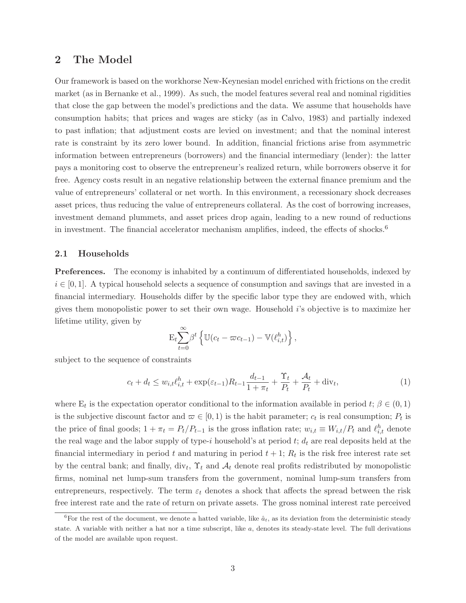### **2 The Model**

Our framework is based on the workhorse New-Keynesian model enriched with frictions on the credit market (as in Bernanke et al., 1999). As such, the model features several real and nominal rigidities that close the gap between the model's predictions and the data. We assume that households have consumption habits; that prices and wages are sticky (as in Calvo, 1983) and partially indexed to past inflation; that adjustment costs are levied on investment; and that the nominal interest rate is constraint by its zero lower bound. In addition, financial frictions arise from asymmetric information between entrepreneurs (borrowers) and the financial intermediary (lender): the latter pays a monitoring cost to observe the entrepreneur's realized return, while borrowers observe it for free. Agency costs result in an negative relationship between the external finance premium and the value of entrepreneurs' collateral or net worth. In this environment, a recessionary shock decreases asset prices, thus reducing the value of entrepreneurs collateral. As the cost of borrowing increases, investment demand plummets, and asset prices drop again, leading to a new round of reductions in investment. The financial accelerator mechanism amplifies, indeed, the effects of shocks.<sup>6</sup>

#### **2.1 Households**

**Preferences.** The economy is inhabited by a continuum of differentiated households, indexed by  $i \in [0,1]$ . A typical household selects a sequence of consumption and savings that are invested in a financial intermediary. Households differ by the specific labor type they are endowed with, which gives them monopolistic power to set their own wage. Household  $i$ 's objective is to maximize her lifetime utility, given by

$$
\mathbf{E}_t \sum_{t=0}^{\infty} \beta^t \left\{ \mathbb{U}(c_t - \varpi c_{t-1}) - \mathbb{V}(\ell_{i,t}^h) \right\},\,
$$

subject to the sequence of constraints

$$
c_t + d_t \le w_{i,t} \ell_{i,t}^h + \exp(\varepsilon_{t-1}) R_{t-1} \frac{d_{t-1}}{1 + \pi_t} + \frac{\Upsilon_t}{P_t} + \frac{\mathcal{A}_t}{P_t} + \text{div}_t,
$$
\n(1)

where  $E_t$  is the expectation operator conditional to the information available in period t;  $\beta \in (0,1)$ is the subjective discount factor and  $\varpi \in [0,1)$  is the habit parameter;  $c_t$  is real consumption;  $P_t$  is the price of final goods;  $1 + \pi_t = P_t/P_{t-1}$  is the gross inflation rate;  $w_{i,t} \equiv W_{i,t}/P_t$  and  $\ell_{i,t}^h$  denote the real wage and the labor supply of type-i household's at period  $t$ ;  $d_t$  are real deposits held at the financial intermediary in period t and maturing in period  $t + 1$ ;  $R_t$  is the risk free interest rate set by the central bank; and finally, div<sub>t</sub>,  $\Upsilon_t$  and  $\mathcal{A}_t$  denote real profits redistributed by monopolistic firms, nominal net lump-sum transfers from the government, nominal lump-sum transfers from entrepreneurs, respectively. The term  $\varepsilon_t$  denotes a shock that affects the spread between the risk free interest rate and the rate of return on private assets. The gross nominal interest rate perceived

<sup>&</sup>lt;sup>6</sup>For the rest of the document, we denote a hatted variable, like  $\hat{a}_t$ , as its deviation from the deterministic steady state. A variable with neither a hat nor a time subscript, like  $a$ , denotes its steady-state level. The full derivations of the model are available upon request.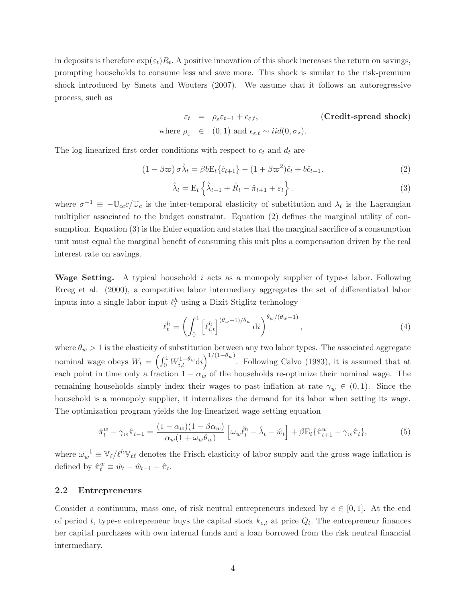in deposits is therefore  $\exp(\varepsilon_t)R_t$ . A positive innovation of this shock increases the return on savings, prompting households to consume less and save more. This shock is similar to the risk-premium shock introduced by Smets and Wouters (2007). We assume that it follows an autoregressive process, such as

$$
\varepsilon_t = \rho_{\varepsilon} \varepsilon_{t-1} + \varepsilon_{\varepsilon,t}, \qquad \text{(Credit-spread shock)}
$$
  
where  $\rho_{\varepsilon} \in (0,1)$  and  $\varepsilon_{\varepsilon,t} \sim iid(0, \sigma_{\varepsilon}).$ 

The log-linearized first-order conditions with respect to  $c_t$  and  $d_t$  are

$$
(1 - \beta \varpi) \sigma \hat{\lambda}_t = \beta b \mathcal{E}_t \{\hat{c}_{t+1}\} - (1 + \beta \varpi^2) \hat{c}_t + b \hat{c}_{t-1}.
$$
 (2)

$$
\hat{\lambda}_t = \mathcal{E}_t \left\{ \hat{\lambda}_{t+1} + \hat{R}_t - \hat{\pi}_{t+1} + \varepsilon_t \right\}.
$$
\n(3)

where  $\sigma^{-1} \equiv -\mathbb{U}_{cc}c/\mathbb{U}_c$  is the inter-temporal elasticity of substitution and  $\lambda_t$  is the Lagrangian multiplier associated to the budget constraint. Equation (2) defines the marginal utility of consumption. Equation (3) is the Euler equation and states that the marginal sacrifice of a consumption unit must equal the marginal benefit of consuming this unit plus a compensation driven by the real interest rate on savings.

**Wage Setting.** A typical household i acts as a monopoly supplier of type-i labor. Following Erceg et al. (2000), a competitive labor intermediary aggregates the set of differentiated labor inputs into a single labor input  $\ell^h_t$  using a Dixit-Stiglitz technology

$$
\ell_t^h = \left(\int_0^1 \left[\ell_{i,t}^h\right]^{(\theta_w - 1)/\theta_w} \mathrm{d}i\right)^{\theta_w/(\theta_w - 1)},\tag{4}
$$

where  $\theta_w > 1$  is the elasticity of substitution between any two labor types. The associated aggregate nominal wage obeys  $W_t = \left(\int_0^1 W_{i,t}^{1-\theta_w} \mathrm{d}i\right)^{1/(1-\theta_w)}$ . Following Calvo (1983), it is assumed that at each point in time only a fraction  $1 - \alpha_w$  of the households re-optimize their nominal wage. The remaining households simply index their wages to past inflation at rate  $\gamma_w \in (0,1)$ . Since the household is a monopoly supplier, it internalizes the demand for its labor when setting its wage. The optimization program yields the log-linearized wage setting equation

$$
\hat{\pi}_t^w - \gamma_w \hat{\pi}_{t-1} = \frac{(1 - \alpha_w)(1 - \beta \alpha_w)}{\alpha_w (1 + \omega_w \theta_w)} \left[ \omega_w \hat{\ell}_t^h - \hat{\lambda}_t - \hat{w}_t \right] + \beta E_t \{ \hat{\pi}_{t+1}^w - \gamma_w \hat{\pi}_t \},\tag{5}
$$

where  $\omega_w^{-1} \equiv \mathbb{V}_{\ell}/\ell^h \mathbb{V}_{\ell\ell}$  denotes the Frisch elasticity of labor supply and the gross wage inflation is defined by  $\hat{\pi}_t^w \equiv \hat{w}_t - \hat{w}_{t-1} + \hat{\pi}_t$ .

#### **2.2 Entrepreneurs**

Consider a continuum, mass one, of risk neutral entrepreneurs indexed by  $e \in [0,1]$ . At the end of period t, type-e entrepreneur buys the capital stock  $k_{e,t}$  at price  $Q_t$ . The entrepreneur finances her capital purchases with own internal funds and a loan borrowed from the risk neutral financial intermediary.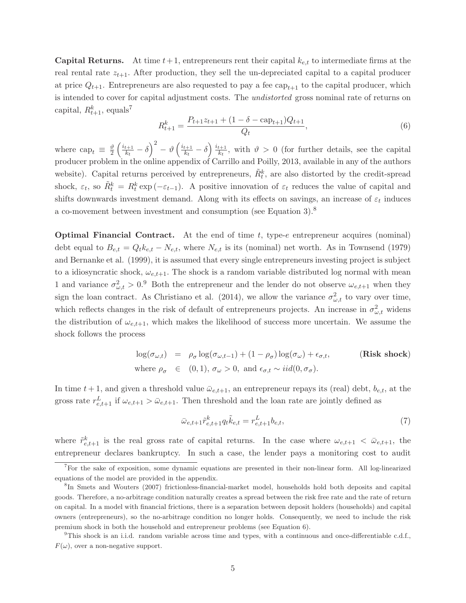**Capital Returns.** At time  $t+1$ , entrepreneurs rent their capital  $k_{e,t}$  to intermediate firms at the real rental rate  $z_{t+1}$ . After production, they sell the un-depreciated capital to a capital producer at price  $Q_{t+1}$ . Entrepreneurs are also requested to pay a fee cap<sub>t+1</sub> to the capital producer, which is intended to cover for capital adjustment costs. The *undistorted* gross nominal rate of returns on capital,  $R_{t+1}^k$ , equals<sup>7</sup>

$$
R_{t+1}^{k} = \frac{P_{t+1}z_{t+1} + (1 - \delta - \text{cap}_{t+1})Q_{t+1}}{Q_t},\tag{6}
$$

where  $\text{cap}_t \equiv \frac{\vartheta}{2}$  $\left(\frac{i_{t+1}}{k_t} - \delta\right)^2 - \vartheta\left(\frac{i_{t+1}}{k_t} - \delta\right) \frac{i_{t+1}}{k_t}$ , with  $\vartheta > 0$  (for further details, see the capital producer problem in the online appendix of Carrillo and Poilly, 2013, available in any of the authors website). Capital returns perceived by entrepreneurs,  $\tilde{R}_t^k$ , are also distorted by the credit-spread shock,  $\varepsilon_t$ , so  $\tilde{R}_t^k = R_t^k \exp(-\varepsilon_{t-1})$ . A positive innovation of  $\varepsilon_t$  reduces the value of capital and shifts downwards investment demand. Along with its effects on savings, an increase of  $\varepsilon_t$  induces a co-movement between investment and consumption (see Equation 3).<sup>8</sup>

**Optimal Financial Contract.** At the end of time t, type-e entrepreneur acquires (nominal) debt equal to  $B_{e,t} = Q_t k_{e,t} - N_{e,t}$ , where  $N_{e,t}$  is its (nominal) net worth. As in Townsend (1979) and Bernanke et al. (1999), it is assumed that every single entrepreneurs investing project is subject to a idiosyncratic shock,  $\omega_{e,t+1}$ . The shock is a random variable distributed log normal with mean 1 and variance  $\sigma_{\omega,t}^2 > 0.9$  Both the entrepreneur and the lender do not observe  $\omega_{e,t+1}$  when they sign the loan contract. As Christiano et al. (2014), we allow the variance  $\sigma_{\omega,t}^2$  to vary over time, which reflects changes in the risk of default of entrepreneurs projects. An increase in  $\sigma_{\omega,t}^2$  widens the distribution of  $\omega_{e,t+1}$ , which makes the likelihood of success more uncertain. We assume the shock follows the process

$$
\log(\sigma_{\omega,t}) = \rho_{\sigma} \log(\sigma_{\omega,t-1}) + (1 - \rho_{\sigma}) \log(\sigma_{\omega}) + \epsilon_{\sigma,t},
$$
 (Risk shock)  
where  $\rho_{\sigma} \in (0,1)$ ,  $\sigma_{\omega} > 0$ , and  $\epsilon_{\sigma,t} \sim iid(0, \sigma_{\sigma})$ .

In time  $t + 1$ , and given a threshold value  $\bar{\omega}_{e,t+1}$ , an entrepreneur repays its (real) debt,  $b_{e,t}$ , at the gross rate  $r_{e,t+1}^L$  if  $\omega_{e,t+1} > \bar{\omega}_{e,t+1}$ . Then threshold and the loan rate are jointly defined as

$$
\bar{\omega}_{e,t+1} \tilde{r}_{e,t+1}^k q_t \tilde{k}_{e,t} = r_{e,t+1}^L b_{e,t},\tag{7}
$$

where  $\tilde{r}_{e,t+1}^k$  is the real gross rate of capital returns. In the case where  $\omega_{e,t+1} < \bar{\omega}_{e,t+1}$ , the entrepreneur declares bankruptcy. In such a case, the lender pays a monitoring cost to audit

<sup>7</sup>For the sake of exposition, some dynamic equations are presented in their non-linear form. All log-linearized equations of the model are provided in the appendix.

<sup>8</sup>In Smets and Wouters (2007) frictionless-financial-market model, households hold both deposits and capital goods. Therefore, a no-arbitrage condition naturally creates a spread between the risk free rate and the rate of return on capital. In a model with financial frictions, there is a separation between deposit holders (households) and capital owners (entrepreneurs), so the no-arbitrage condition no longer holds. Consequently, we need to include the risk premium shock in both the household and entrepreneur problems (see Equation 6).

 $9$ This shock is an i.i.d. random variable across time and types, with a continuous and once-differentiable c.d.f.,  $F(\omega)$ , over a non-negative support.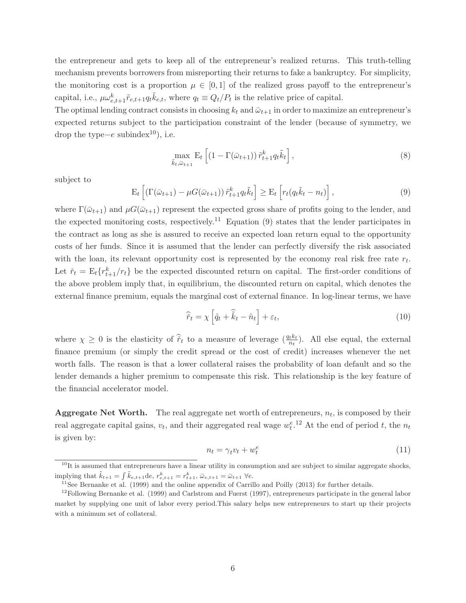the entrepreneur and gets to keep all of the entrepreneur's realized returns. This truth-telling mechanism prevents borrowers from misreporting their returns to fake a bankruptcy. For simplicity, the monitoring cost is a proportion  $\mu \in [0,1]$  of the realized gross payoff to the entrepreneur's capital, i.e.,  $\mu \omega_{e,t+1}^k \tilde{r}_{e,t+1} q_t \tilde{k}_{e,t}$ , where  $q_t \equiv Q_t/P_t$  is the relative price of capital.

The optimal lending contract consists in choosing  $k_t$  and  $\bar{\omega}_{t+1}$  in order to maximize an entrepreneur's expected returns subject to the participation constraint of the lender (because of symmetry, we drop the type $-e$  subindex<sup>10</sup>), i.e.

$$
\max_{\tilde{k}t, \bar{\omega}_{t+1}} \mathbf{E}_t \left[ \left( 1 - \Gamma(\bar{\omega}_{t+1}) \right) \tilde{r}_{t+1}^k q_t \tilde{k}_t \right],\tag{8}
$$

subject to

$$
\mathcal{E}_t\left[\left(\Gamma(\bar{\omega}_{t+1}) - \mu G(\bar{\omega}_{t+1})\right)\tilde{r}_{t+1}^k q_t \tilde{k}_t\right] \ge \mathcal{E}_t\left[r_t(q_t\tilde{k}_t - n_t)\right],\tag{9}
$$

where  $\Gamma(\bar{\omega}_{t+1})$  and  $\mu G(\bar{\omega}_{t+1})$  represent the expected gross share of profits going to the lender, and the expected monitoring costs, respectively.<sup>11</sup> Equation  $(9)$  states that the lender participates in the contract as long as she is assured to receive an expected loan return equal to the opportunity costs of her funds. Since it is assumed that the lender can perfectly diversify the risk associated with the loan, its relevant opportunity cost is represented by the economy real risk free rate  $r_t$ . Let  $\check{r}_t = \mathbb{E}_t\{r_{t+1}^k/r_t\}$  be the expected discounted return on capital. The first-order conditions of the above problem imply that, in equilibrium, the discounted return on capital, which denotes the external finance premium, equals the marginal cost of external finance. In log-linear terms, we have

$$
\widehat{\widetilde{r}}_t = \chi \left[ \widehat{q}_t + \widehat{\widetilde{k}}_t - \widehat{n}_t \right] + \varepsilon_t, \tag{10}
$$

where  $\chi \geq 0$  is the elasticity of  $\hat{r}_t$  to a measure of leverage  $(\frac{q_t k_t}{n_t})$ . All else equal, the external finance premium (or simply the credit spread or the cost of credit) increases whenever the net worth falls. The reason is that a lower collateral raises the probability of loan default and so the lender demands a higher premium to compensate this risk. This relationship is the key feature of the financial accelerator model.

**Aggregate Net Worth.** The real aggregate net worth of entrepreneurs,  $n_t$ , is composed by their real aggregate capital gains,  $v_t$ , and their aggregated real wage  $w_t^{e}$ .<sup>12</sup> At the end of period t, the  $n_t$ is given by:

$$
n_t = \gamma_t v_t + w_t^e \tag{11}
$$

 $10$ It is assumed that entrepreneurs have a linear utility in consumption and are subject to similar aggregate shocks, implying that  $\tilde{k}_{t+1} = \int \tilde{k}_{e,t+1} \, \mathrm{d}e$ ,  $r_{e,t+1}^k = r_t^k$ .

<sup>&</sup>lt;sup>11</sup> See Bernanke et al. (1999) and the online appendix of Carrillo and Poilly (2013) for further details.

 $12$ Following Bernanke et al. (1999) and Carlstrom and Fuerst (1997), entrepreneurs participate in the general labor market by supplying one unit of labor every period.This salary helps new entrepreneurs to start up their projects with a minimum set of collateral.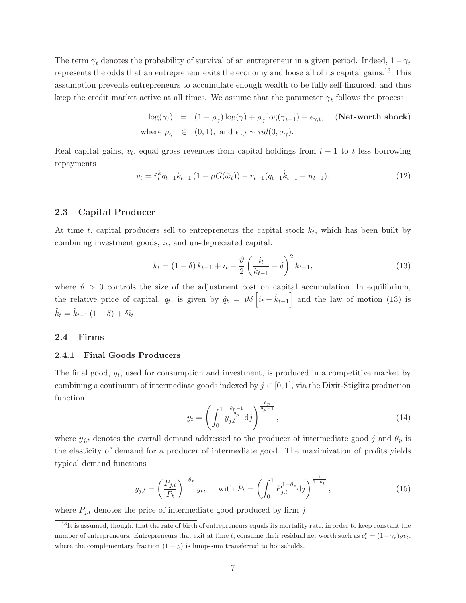The term  $\gamma_t$  denotes the probability of survival of an entrepreneur in a given period. Indeed,  $1-\gamma_t$ represents the odds that an entrepreneur exits the economy and loose all of its capital gains.<sup>13</sup> This assumption prevents entrepreneurs to accumulate enough wealth to be fully self-financed, and thus keep the credit market active at all times. We assume that the parameter  $\gamma_t$  follows the process

$$
\log(\gamma_t) = (1 - \rho_\gamma) \log(\gamma) + \rho_\gamma \log(\gamma_{t-1}) + \epsilon_{\gamma, t}, \quad \text{(Networth shock)}
$$
  
where  $\rho_\gamma \in (0, 1)$ , and  $\epsilon_{\gamma, t} \sim \text{iid}(0, \sigma_\gamma)$ .

Real capital gains,  $v_t$ , equal gross revenues from capital holdings from  $t - 1$  to t less borrowing repayments

$$
v_t = \tilde{r}_t^k q_{t-1} k_{t-1} \left( 1 - \mu G(\bar{\omega}_t) \right) - r_{t-1} (q_{t-1} \tilde{k}_{t-1} - n_{t-1}). \tag{12}
$$

#### **2.3 Capital Producer**

At time t, capital producers sell to entrepreneurs the capital stock  $k_t$ , which has been built by combining investment goods,  $i_t$ , and un-depreciated capital:

$$
k_t = (1 - \delta) k_{t-1} + i_t - \frac{\vartheta}{2} \left( \frac{i_t}{k_{t-1}} - \delta \right)^2 k_{t-1},
$$
\n(13)

where  $\vartheta > 0$  controls the size of the adjustment cost on capital accumulation. In equilibrium, the relative price of capital,  $q_t$ , is given by  $\hat{q}_t = \vartheta \delta \left[ \hat{i}_t - \hat{k}_{t-1} \right]$  and the law of motion (13) is  $\hat{k}_t = \hat{k}_{t-1} (1 - \delta) + \delta \hat{i}_t.$ 

#### **2.4 Firms**

#### **2.4.1 Final Goods Producers**

The final good,  $y_t$ , used for consumption and investment, is produced in a competitive market by combining a continuum of intermediate goods indexed by  $j \in [0, 1]$ , via the Dixit-Stiglitz production function

$$
y_t = \left(\int_0^1 \frac{\theta_p - 1}{\theta_p} \, \mathrm{d}j\right)^{\frac{\theta_p}{\theta_p - 1}},\tag{14}
$$

where  $y_{j,t}$  denotes the overall demand addressed to the producer of intermediate good j and  $\theta_p$  is the elasticity of demand for a producer of intermediate good. The maximization of profits yields typical demand functions

$$
y_{j,t} = \left(\frac{P_{j,t}}{P_t}\right)^{-\theta_p} y_t, \quad \text{with } P_t = \left(\int_0^1 P_{j,t}^{1-\theta_p} \mathrm{d}j\right)^{\frac{1}{1-\theta_p}},\tag{15}
$$

where  $P_{j,t}$  denotes the price of intermediate good produced by firm j.

 $13$ It is assumed, though, that the rate of birth of entrepreneurs equals its mortality rate, in order to keep constant the number of entrepreneurs. Entrepreneurs that exit at time t, consume their residual net worth such as  $c_t^e = (1 - \gamma_t)\varrho v_t$ , where the complementary fraction  $(1 - \varrho)$  is lump-sum transferred to households.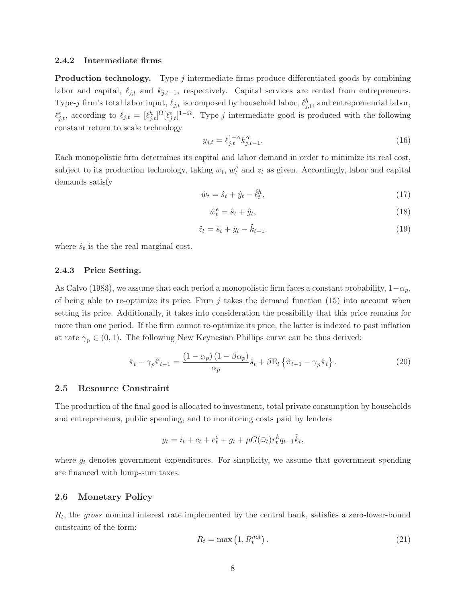#### **2.4.2 Intermediate firms**

**Production technology.** Type-j intermediate firms produce differentiated goods by combining labor and capital,  $\ell_{j,t}$  and  $k_{j,t-1}$ , respectively. Capital services are rented from entrepreneurs. Type-j firm's total labor input,  $\ell_{j,t}$  is composed by household labor,  $\ell_{j,t}^h$ , and entrepreneurial labor,  $\ell_{j,t}^e$ , according to  $\ell_{j,t} = [\ell_{j,t}^h]^\Omega[\ell_{j,t}^e]^{1-\Omega}$ . Type-j intermediate good is produced with the following constant return to scale technology

$$
y_{j,t} = \ell_{j,t}^{1-\alpha} k_{j,t-1}^{\alpha}.
$$
 (16)

Each monopolistic firm determines its capital and labor demand in order to minimize its real cost, subject to its production technology, taking  $w_t$ ,  $w_t^e$  and  $z_t$  as given. Accordingly, labor and capital demands satisfy

$$
\hat{w}_t = \hat{s}_t + \hat{y}_t - \hat{\ell}_t^h,\tag{17}
$$

$$
\hat{w}_t^e = \hat{s}_t + \hat{y}_t,\tag{18}
$$

$$
\hat{z}_t = \hat{s}_t + \hat{y}_t - \hat{k}_{t-1}.
$$
\n(19)

where  $\hat{s}_t$  is the the real marginal cost.

#### **2.4.3 Price Setting.**

As Calvo (1983), we assume that each period a monopolistic firm faces a constant probability,  $1-\alpha_p$ , of being able to re-optimize its price. Firm  $j$  takes the demand function (15) into account when setting its price. Additionally, it takes into consideration the possibility that this price remains for more than one period. If the firm cannot re-optimize its price, the latter is indexed to past inflation at rate  $\gamma_p \in (0,1)$ . The following New Keynesian Phillips curve can be thus derived:

$$
\hat{\pi}_t - \gamma_p \hat{\pi}_{t-1} = \frac{(1 - \alpha_p)(1 - \beta \alpha_p)}{\alpha_p} \hat{s}_t + \beta \mathcal{E}_t \left\{ \hat{\pi}_{t+1} - \gamma_p \hat{\pi}_t \right\}.
$$
\n(20)

#### **2.5 Resource Constraint**

The production of the final good is allocated to investment, total private consumption by households and entrepreneurs, public spending, and to monitoring costs paid by lenders

$$
y_t = i_t + c_t + c_t^e + g_t + \mu G(\bar{\omega}_t) r_t^k q_{t-1} \tilde{k}_t,
$$

where  $g_t$  denotes government expenditures. For simplicity, we assume that government spending are financed with lump-sum taxes.

#### **2.6 Monetary Policy**

 $R_t$ , the gross nominal interest rate implemented by the central bank, satisfies a zero-lower-bound constraint of the form:

$$
R_t = \max\left(1, R_t^{not}\right). \tag{21}
$$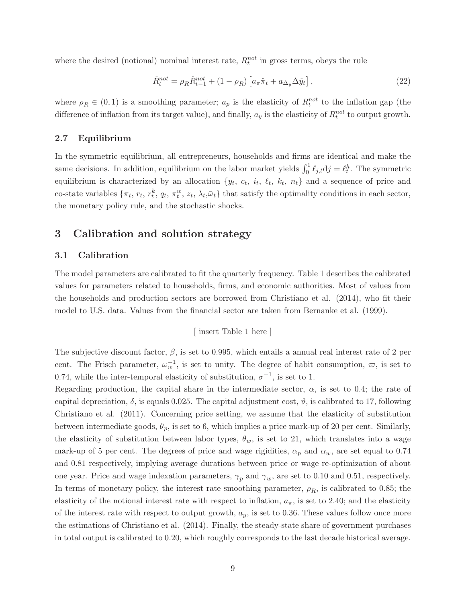where the desired (notional) nominal interest rate,  $R_t^{not}$  in gross terms, obeys the rule

$$
\hat{R}_t^{not} = \rho_R \hat{R}_{t-1}^{not} + (1 - \rho_R) \left[ a_\pi \hat{\pi}_t + a_{\Delta_y} \Delta \hat{y}_t \right],\tag{22}
$$

where  $\rho_R \in (0,1)$  is a smoothing parameter;  $a_p$  is the elasticity of  $R_t^{not}$  to the inflation gap (the difference of inflation from its target value), and finally,  $a_y$  is the elasticity of  $R_t^{not}$  to output growth.

#### **2.7 Equilibrium**

In the symmetric equilibrium, all entrepreneurs, households and firms are identical and make the same decisions. In addition, equilibrium on the labor market yields  $\int_0^1 \ell_{j,t} d j = \ell_t^h$ . The symmetric equilibrium is characterized by an allocation  $\{y_t, c_t, i_t, \ell_t, k_t, n_t\}$  and a sequence of price and co-state variables  $\{\pi_t, r_t, r_t^k, q_t, \pi_t^w, z_t, \lambda_t, \bar{\omega}_t\}$  that satisfy the optimality conditions in each sector, the monetary policy rule, and the stochastic shocks.

## **3 Calibration and solution strategy**

#### **3.1 Calibration**

The model parameters are calibrated to fit the quarterly frequency. Table 1 describes the calibrated values for parameters related to households, firms, and economic authorities. Most of values from the households and production sectors are borrowed from Christiano et al. (2014), who fit their model to U.S. data. Values from the financial sector are taken from Bernanke et al. (1999).

[ insert Table 1 here ]

The subjective discount factor,  $\beta$ , is set to 0.995, which entails a annual real interest rate of 2 per cent. The Frisch parameter,  $\omega_w^{-1}$ , is set to unity. The degree of habit consumption,  $\varpi$ , is set to 0.74, while the inter-temporal elasticity of substitution,  $\sigma^{-1}$ , is set to 1.

Regarding production, the capital share in the intermediate sector,  $\alpha$ , is set to 0.4; the rate of capital depreciation,  $\delta$ , is equals 0.025. The capital adjustment cost,  $\vartheta$ , is calibrated to 17, following Christiano et al. (2011). Concerning price setting, we assume that the elasticity of substitution between intermediate goods,  $\theta_p$ , is set to 6, which implies a price mark-up of 20 per cent. Similarly, the elasticity of substitution between labor types,  $\theta_w$ , is set to 21, which translates into a wage mark-up of 5 per cent. The degrees of price and wage rigidities,  $\alpha_p$  and  $\alpha_w$ , are set equal to 0.74 and 0.81 respectively, implying average durations between price or wage re-optimization of about one year. Price and wage indexation parameters,  $\gamma_p$  and  $\gamma_w$ , are set to 0.10 and 0.51, respectively. In terms of monetary policy, the interest rate smoothing parameter,  $\rho_R$ , is calibrated to 0.85; the elasticity of the notional interest rate with respect to inflation,  $a_{\pi}$ , is set to 2.40; and the elasticity of the interest rate with respect to output growth,  $a_y$ , is set to 0.36. These values follow once more the estimations of Christiano et al. (2014). Finally, the steady-state share of government purchases in total output is calibrated to 0.20, which roughly corresponds to the last decade historical average.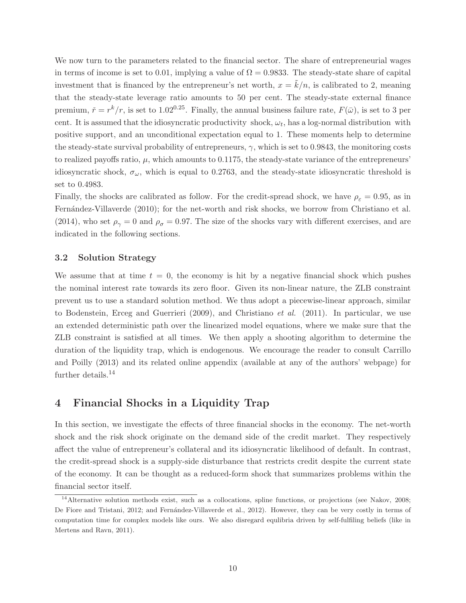We now turn to the parameters related to the financial sector. The share of entrepreneurial wages in terms of income is set to 0.01, implying a value of  $\Omega = 0.9833$ . The steady-state share of capital investment that is financed by the entrepreneur's net worth,  $x = \tilde{k}/n$ , is calibrated to 2, meaning that the steady-state leverage ratio amounts to 50 per cent. The steady-state external finance premium,  $\check{r} = r^k/r$ , is set to 1.02<sup>0.25</sup>. Finally, the annual business failure rate,  $F(\bar{\omega})$ , is set to 3 per cent. It is assumed that the idiosyncratic productivity shock,  $\omega_t$ , has a log-normal distribution with positive support, and an unconditional expectation equal to 1. These moments help to determine the steady-state survival probability of entrepreneurs,  $\gamma$ , which is set to 0.9843, the monitoring costs to realized payoffs ratio,  $\mu$ , which amounts to 0.1175, the steady-state variance of the entrepreneurs' idiosyncratic shock,  $\sigma_{\omega}$ , which is equal to 0.2763, and the steady-state idiosyncratic threshold is set to 0.4983.

Finally, the shocks are calibrated as follow. For the credit-spread shock, we have  $\rho_{\varepsilon} = 0.95$ , as in Fernández-Villaverde (2010); for the net-worth and risk shocks, we borrow from Christiano et al. (2014), who set  $\rho_{\gamma} = 0$  and  $\rho_{\sigma} = 0.97$ . The size of the shocks vary with different exercises, and are indicated in the following sections.

#### **3.2 Solution Strategy**

We assume that at time  $t = 0$ , the economy is hit by a negative financial shock which pushes the nominal interest rate towards its zero floor. Given its non-linear nature, the ZLB constraint prevent us to use a standard solution method. We thus adopt a piecewise-linear approach, similar to Bodenstein, Erceg and Guerrieri (2009), and Christiano *et al.* (2011). In particular, we use an extended deterministic path over the linearized model equations, where we make sure that the ZLB constraint is satisfied at all times. We then apply a shooting algorithm to determine the duration of the liquidity trap, which is endogenous. We encourage the reader to consult Carrillo and Poilly (2013) and its related online appendix (available at any of the authors' webpage) for further details.<sup>14</sup>

## **4 Financial Shocks in a Liquidity Trap**

In this section, we investigate the effects of three financial shocks in the economy. The net-worth shock and the risk shock originate on the demand side of the credit market. They respectively affect the value of entrepreneur's collateral and its idiosyncratic likelihood of default. In contrast, the credit-spread shock is a supply-side disturbance that restricts credit despite the current state of the economy. It can be thought as a reduced-form shock that summarizes problems within the financial sector itself.

 $14$ Alternative solution methods exist, such as a collocations, spline functions, or projections (see Nakov, 2008; De Fiore and Tristani, 2012; and Fernández-Villaverde et al., 2012). However, they can be very costly in terms of computation time for complex models like ours. We also disregard equlibria driven by self-fulfiling beliefs (like in Mertens and Ravn, 2011).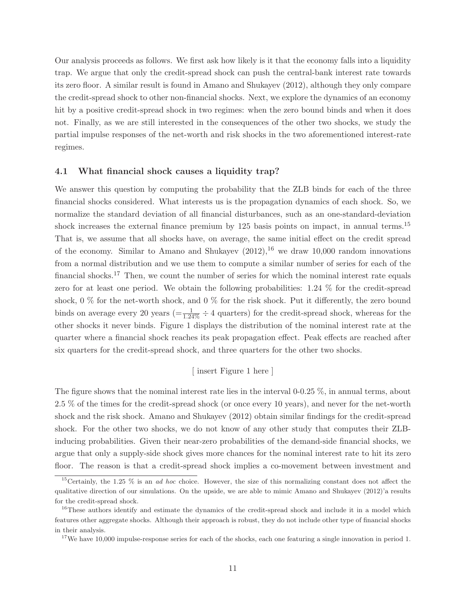Our analysis proceeds as follows. We first ask how likely is it that the economy falls into a liquidity trap. We argue that only the credit-spread shock can push the central-bank interest rate towards its zero floor. A similar result is found in Amano and Shukayev (2012), although they only compare the credit-spread shock to other non-financial shocks. Next, we explore the dynamics of an economy hit by a positive credit-spread shock in two regimes: when the zero bound binds and when it does not. Finally, as we are still interested in the consequences of the other two shocks, we study the partial impulse responses of the net-worth and risk shocks in the two aforementioned interest-rate regimes.

#### **4.1 What financial shock causes a liquidity trap?**

We answer this question by computing the probability that the ZLB binds for each of the three financial shocks considered. What interests us is the propagation dynamics of each shock. So, we normalize the standard deviation of all financial disturbances, such as an one-standard-deviation shock increases the external finance premium by 125 basis points on impact, in annual terms.<sup>15</sup> That is, we assume that all shocks have, on average, the same initial effect on the credit spread of the economy. Similar to Amano and Shukayev  $(2012)$ , <sup>16</sup> we draw 10,000 random innovations from a normal distribution and we use them to compute a similar number of series for each of the financial shocks.<sup>17</sup> Then, we count the number of series for which the nominal interest rate equals zero for at least one period. We obtain the following probabilities: 1.24 % for the credit-spread shock,  $0\%$  for the net-worth shock, and  $0\%$  for the risk shock. Put it differently, the zero bound binds on average every 20 years  $(=\frac{1}{1.24\%} \div 4$  quarters) for the credit-spread shock, whereas for the other shocks it never binds. Figure 1 displays the distribution of the nominal interest rate at the quarter where a financial shock reaches its peak propagation effect. Peak effects are reached after six quarters for the credit-spread shock, and three quarters for the other two shocks.

#### [ insert Figure 1 here ]

The figure shows that the nominal interest rate lies in the interval 0-0.25 %, in annual terms, about 2.5 % of the times for the credit-spread shock (or once every 10 years), and never for the net-worth shock and the risk shock. Amano and Shukayev (2012) obtain similar findings for the credit-spread shock. For the other two shocks, we do not know of any other study that computes their ZLBinducing probabilities. Given their near-zero probabilities of the demand-side financial shocks, we argue that only a supply-side shock gives more chances for the nominal interest rate to hit its zero floor. The reason is that a credit-spread shock implies a co-movement between investment and

<sup>&</sup>lt;sup>15</sup>Certainly, the 1.25  $\%$  is an *ad hoc* choice. However, the size of this normalizing constant does not affect the qualitative direction of our simulations. On the upside, we are able to mimic Amano and Shukayev (2012)'a results for the credit-spread shock.

<sup>&</sup>lt;sup>16</sup>These authors identify and estimate the dynamics of the credit-spread shock and include it in a model which features other aggregate shocks. Although their approach is robust, they do not include other type of financial shocks in their analysis.

<sup>&</sup>lt;sup>17</sup>We have 10,000 impulse-response series for each of the shocks, each one featuring a single innovation in period 1.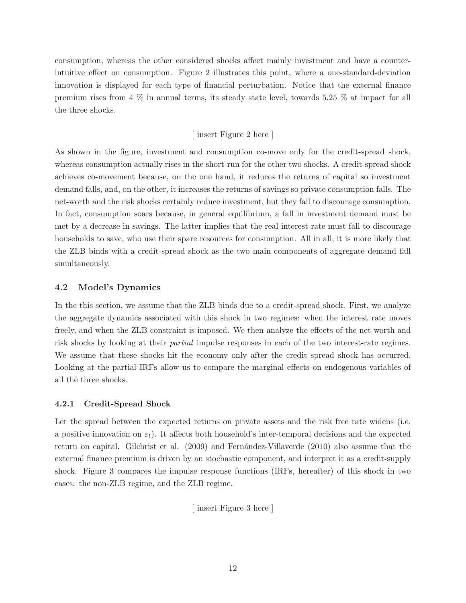consumption, whereas the other considered shocks affect mainly investment and have a counterintuitive effect on consumption. Figure 2 illustrates this point, where a one-standard-deviation innovation is displayed for each type of financial perturbation. Notice that the external finance premium rises from 4 % in annual terms, its steady state level, towards 5.25 % at impact for all the three shocks.

#### [ insert Figure 2 here ]

As shown in the figure, investment and consumption co-move only for the credit-spread shock, whereas consumption actually rises in the short-run for the other two shocks. A credit-spread shock achieves co-movement because, on the one hand, it reduces the returns of capital so investment demand falls, and, on the other, it increases the returns of savings so private consumption falls. The net-worth and the risk shocks certainly reduce investment, but they fail to discourage consumption. In fact, consumption soars because, in general equilibrium, a fall in investment demand must be met by a decrease in savings. The latter implies that the real interest rate must fall to discourage households to save, who use their spare resources for consumption. All in all, it is more likely that the ZLB binds with a credit-spread shock as the two main components of aggregate demand fall simultaneously.

#### **4.2 Model's Dynamics**

In the this section, we assume that the ZLB binds due to a credit-spread shock. First, we analyze the aggregate dynamics associated with this shock in two regimes: when the interest rate moves freely, and when the ZLB constraint is imposed. We then analyze the effects of the net-worth and risk shocks by looking at their partial impulse responses in each of the two interest-rate regimes. We assume that these shocks hit the economy only after the credit spread shock has occurred. Looking at the partial IRFs allow us to compare the marginal effects on endogenous variables of all the three shocks.

#### **4.2.1 Credit-Spread Shock**

Let the spread between the expected returns on private assets and the risk free rate widens (i.e. a positive innovation on  $\varepsilon_t$ ). It affects both household's inter-temporal decisions and the expected return on capital. Gilchrist et al. (2009) and Fernández-Villaverde (2010) also assume that the external finance premium is driven by an stochastic component, and interpret it as a credit-supply shock. Figure 3 compares the impulse response functions (IRFs, hereafter) of this shock in two cases: the non-ZLB regime, and the ZLB regime.

[ insert Figure 3 here ]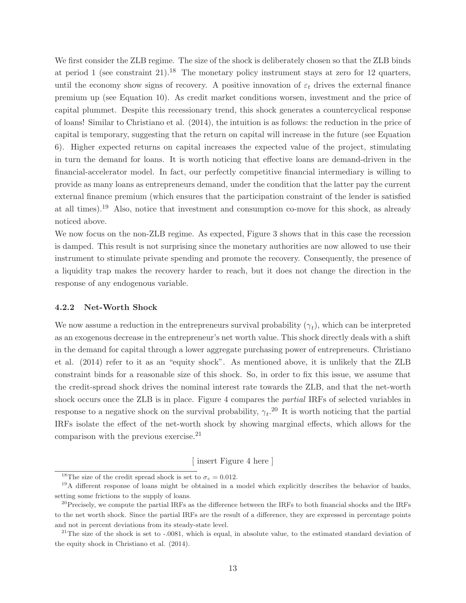We first consider the ZLB regime. The size of the shock is deliberately chosen so that the ZLB binds at period 1 (see constraint  $21$ ).<sup>18</sup> The monetary policy instrument stays at zero for 12 quarters, until the economy show signs of recovery. A positive innovation of  $\varepsilon_t$  drives the external finance premium up (see Equation 10). As credit market conditions worsen, investment and the price of capital plummet. Despite this recessionary trend, this shock generates a countercyclical response of loans! Similar to Christiano et al. (2014), the intuition is as follows: the reduction in the price of capital is temporary, suggesting that the return on capital will increase in the future (see Equation 6). Higher expected returns on capital increases the expected value of the project, stimulating in turn the demand for loans. It is worth noticing that effective loans are demand-driven in the financial-accelerator model. In fact, our perfectly competitive financial intermediary is willing to provide as many loans as entrepreneurs demand, under the condition that the latter pay the current external finance premium (which ensures that the participation constraint of the lender is satisfied at all times).<sup>19</sup> Also, notice that investment and consumption co-move for this shock, as already noticed above.

We now focus on the non-ZLB regime. As expected, Figure 3 shows that in this case the recession is damped. This result is not surprising since the monetary authorities are now allowed to use their instrument to stimulate private spending and promote the recovery. Consequently, the presence of a liquidity trap makes the recovery harder to reach, but it does not change the direction in the response of any endogenous variable.

#### **4.2.2 Net-Worth Shock**

We now assume a reduction in the entrepreneurs survival probability  $(\gamma_t)$ , which can be interpreted as an exogenous decrease in the entrepreneur's net worth value. This shock directly deals with a shift in the demand for capital through a lower aggregate purchasing power of entrepreneurs. Christiano et al. (2014) refer to it as an "equity shock". As mentioned above, it is unlikely that the ZLB constraint binds for a reasonable size of this shock. So, in order to fix this issue, we assume that the credit-spread shock drives the nominal interest rate towards the ZLB, and that the net-worth shock occurs once the ZLB is in place. Figure 4 compares the partial IRFs of selected variables in response to a negative shock on the survival probability,  $\gamma_t$ .<sup>20</sup> It is worth noticing that the partial IRFs isolate the effect of the net-worth shock by showing marginal effects, which allows for the comparison with the previous exercise.<sup>21</sup>

[ insert Figure 4 here ]

<sup>&</sup>lt;sup>18</sup>The size of the credit spread shock is set to  $\sigma_{\varepsilon} = 0.012$ .

<sup>&</sup>lt;sup>19</sup>A different response of loans might be obtained in a model which explicitly describes the behavior of banks, setting some frictions to the supply of loans.

 $^{20}$ Precisely, we compute the partial IRFs as the difference between the IRFs to both financial shocks and the IRFs to the net worth shock. Since the partial IRFs are the result of a difference, they are expressed in percentage points and not in percent deviations from its steady-state level.

 $^{21}$ The size of the shock is set to  $-.0081$ , which is equal, in absolute value, to the estimated standard deviation of the equity shock in Christiano et al. (2014).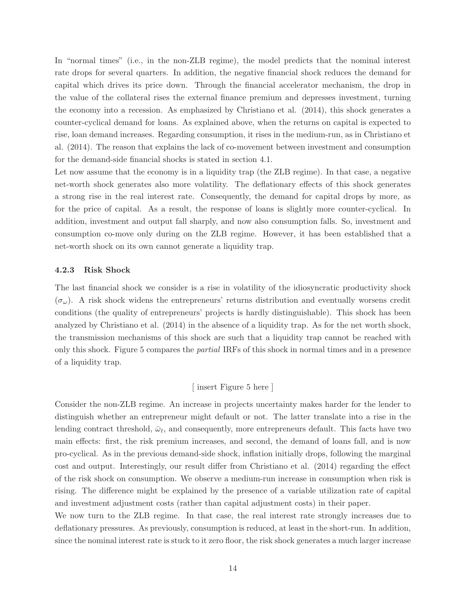In "normal times" (i.e., in the non-ZLB regime), the model predicts that the nominal interest rate drops for several quarters. In addition, the negative financial shock reduces the demand for capital which drives its price down. Through the financial accelerator mechanism, the drop in the value of the collateral rises the external finance premium and depresses investment, turning the economy into a recession. As emphasized by Christiano et al. (2014), this shock generates a counter-cyclical demand for loans. As explained above, when the returns on capital is expected to rise, loan demand increases. Regarding consumption, it rises in the medium-run, as in Christiano et al. (2014). The reason that explains the lack of co-movement between investment and consumption for the demand-side financial shocks is stated in section 4.1.

Let now assume that the economy is in a liquidity trap (the ZLB regime). In that case, a negative net-worth shock generates also more volatility. The deflationary effects of this shock generates a strong rise in the real interest rate. Consequently, the demand for capital drops by more, as for the price of capital. As a result, the response of loans is slightly more counter-cyclical. In addition, investment and output fall sharply, and now also consumption falls. So, investment and consumption co-move only during on the ZLB regime. However, it has been established that a net-worth shock on its own cannot generate a liquidity trap.

#### **4.2.3 Risk Shock**

The last financial shock we consider is a rise in volatility of the idiosyncratic productivity shock  $(\sigma_{\omega})$ . A risk shock widens the entrepreneurs' returns distribution and eventually worsens credit conditions (the quality of entrepreneurs' projects is hardly distinguishable). This shock has been analyzed by Christiano et al. (2014) in the absence of a liquidity trap. As for the net worth shock, the transmission mechanisms of this shock are such that a liquidity trap cannot be reached with only this shock. Figure 5 compares the partial IRFs of this shock in normal times and in a presence of a liquidity trap.

#### [ insert Figure 5 here ]

Consider the non-ZLB regime. An increase in projects uncertainty makes harder for the lender to distinguish whether an entrepreneur might default or not. The latter translate into a rise in the lending contract threshold,  $\bar{\omega}_t$ , and consequently, more entrepreneurs default. This facts have two main effects: first, the risk premium increases, and second, the demand of loans fall, and is now pro-cyclical. As in the previous demand-side shock, inflation initially drops, following the marginal cost and output. Interestingly, our result differ from Christiano et al. (2014) regarding the effect of the risk shock on consumption. We observe a medium-run increase in consumption when risk is rising. The difference might be explained by the presence of a variable utilization rate of capital and investment adjustment costs (rather than capital adjustment costs) in their paper.

We now turn to the ZLB regime. In that case, the real interest rate strongly increases due to deflationary pressures. As previously, consumption is reduced, at least in the short-run. In addition, since the nominal interest rate is stuck to it zero floor, the risk shock generates a much larger increase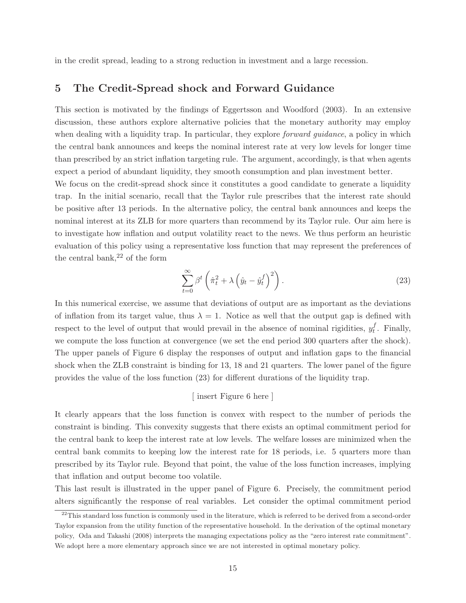in the credit spread, leading to a strong reduction in investment and a large recession.

### **5 The Credit-Spread shock and Forward Guidance**

This section is motivated by the findings of Eggertsson and Woodford (2003). In an extensive discussion, these authors explore alternative policies that the monetary authority may employ when dealing with a liquidity trap. In particular, they explore *forward guidance*, a policy in which the central bank announces and keeps the nominal interest rate at very low levels for longer time than prescribed by an strict inflation targeting rule. The argument, accordingly, is that when agents expect a period of abundant liquidity, they smooth consumption and plan investment better.

We focus on the credit-spread shock since it constitutes a good candidate to generate a liquidity trap. In the initial scenario, recall that the Taylor rule prescribes that the interest rate should be positive after 13 periods. In the alternative policy, the central bank announces and keeps the nominal interest at its ZLB for more quarters than recommend by its Taylor rule. Our aim here is to investigate how inflation and output volatility react to the news. We thus perform an heuristic evaluation of this policy using a representative loss function that may represent the preferences of the central bank,  $2^2$  of the form

$$
\sum_{t=0}^{\infty} \beta^t \left(\hat{\pi}_t^2 + \lambda \left(\hat{y}_t - \hat{y}_t^f\right)^2\right). \tag{23}
$$

In this numerical exercise, we assume that deviations of output are as important as the deviations of inflation from its target value, thus  $\lambda = 1$ . Notice as well that the output gap is defined with respect to the level of output that would prevail in the absence of nominal rigidities,  $y_t^f$ . Finally, we compute the loss function at convergence (we set the end period 300 quarters after the shock). The upper panels of Figure 6 display the responses of output and inflation gaps to the financial shock when the ZLB constraint is binding for 13, 18 and 21 quarters. The lower panel of the figure provides the value of the loss function (23) for different durations of the liquidity trap.

#### [ insert Figure 6 here ]

It clearly appears that the loss function is convex with respect to the number of periods the constraint is binding. This convexity suggests that there exists an optimal commitment period for the central bank to keep the interest rate at low levels. The welfare losses are minimized when the central bank commits to keeping low the interest rate for 18 periods, i.e. 5 quarters more than prescribed by its Taylor rule. Beyond that point, the value of the loss function increases, implying that inflation and output become too volatile.

This last result is illustrated in the upper panel of Figure 6. Precisely, the commitment period alters significantly the response of real variables. Let consider the optimal commitment period

 $22$ This standard loss function is commonly used in the literature, which is referred to be derived from a second-order Taylor expansion from the utility function of the representative household. In the derivation of the optimal monetary policy, Oda and Takashi (2008) interprets the managing expectations policy as the "zero interest rate commitment". We adopt here a more elementary approach since we are not interested in optimal monetary policy.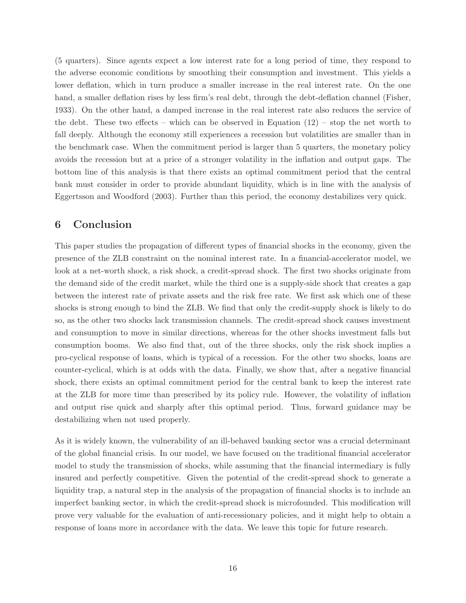(5 quarters). Since agents expect a low interest rate for a long period of time, they respond to the adverse economic conditions by smoothing their consumption and investment. This yields a lower deflation, which in turn produce a smaller increase in the real interest rate. On the one hand, a smaller deflation rises by less firm's real debt, through the debt-deflation channel (Fisher, 1933). On the other hand, a damped increase in the real interest rate also reduces the service of the debt. These two effects – which can be observed in Equation  $(12)$  – stop the net worth to fall deeply. Although the economy still experiences a recession but volatilities are smaller than in the benchmark case. When the commitment period is larger than 5 quarters, the monetary policy avoids the recession but at a price of a stronger volatility in the inflation and output gaps. The bottom line of this analysis is that there exists an optimal commitment period that the central bank must consider in order to provide abundant liquidity, which is in line with the analysis of Eggertsson and Woodford (2003). Further than this period, the economy destabilizes very quick.

## **6 Conclusion**

This paper studies the propagation of different types of financial shocks in the economy, given the presence of the ZLB constraint on the nominal interest rate. In a financial-accelerator model, we look at a net-worth shock, a risk shock, a credit-spread shock. The first two shocks originate from the demand side of the credit market, while the third one is a supply-side shock that creates a gap between the interest rate of private assets and the risk free rate. We first ask which one of these shocks is strong enough to bind the ZLB. We find that only the credit-supply shock is likely to do so, as the other two shocks lack transmission channels. The credit-spread shock causes investment and consumption to move in similar directions, whereas for the other shocks investment falls but consumption booms. We also find that, out of the three shocks, only the risk shock implies a pro-cyclical response of loans, which is typical of a recession. For the other two shocks, loans are counter-cyclical, which is at odds with the data. Finally, we show that, after a negative financial shock, there exists an optimal commitment period for the central bank to keep the interest rate at the ZLB for more time than prescribed by its policy rule. However, the volatility of inflation and output rise quick and sharply after this optimal period. Thus, forward guidance may be destabilizing when not used properly.

As it is widely known, the vulnerability of an ill-behaved banking sector was a crucial determinant of the global financial crisis. In our model, we have focused on the traditional financial accelerator model to study the transmission of shocks, while assuming that the financial intermediary is fully insured and perfectly competitive. Given the potential of the credit-spread shock to generate a liquidity trap, a natural step in the analysis of the propagation of financial shocks is to include an imperfect banking sector, in which the credit-spread shock is microfounded. This modification will prove very valuable for the evaluation of anti-recessionary policies, and it might help to obtain a response of loans more in accordance with the data. We leave this topic for future research.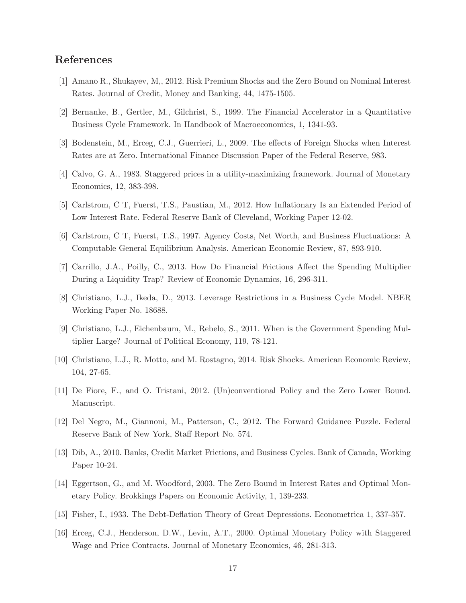## **References**

- [1] Amano R., Shukayev, M,, 2012. Risk Premium Shocks and the Zero Bound on Nominal Interest Rates. Journal of Credit, Money and Banking, 44, 1475-1505.
- [2] Bernanke, B., Gertler, M., Gilchrist, S., 1999. The Financial Accelerator in a Quantitative Business Cycle Framework. In Handbook of Macroeconomics, 1, 1341-93.
- [3] Bodenstein, M., Erceg, C.J., Guerrieri, L., 2009. The effects of Foreign Shocks when Interest Rates are at Zero. International Finance Discussion Paper of the Federal Reserve, 983.
- [4] Calvo, G. A., 1983. Staggered prices in a utility-maximizing framework. Journal of Monetary Economics, 12, 383-398.
- [5] Carlstrom, C T, Fuerst, T.S., Paustian, M., 2012. How Inflationary Is an Extended Period of Low Interest Rate. Federal Reserve Bank of Cleveland, Working Paper 12-02.
- [6] Carlstrom, C T, Fuerst, T.S., 1997. Agency Costs, Net Worth, and Business Fluctuations: A Computable General Equilibrium Analysis. American Economic Review, 87, 893-910.
- [7] Carrillo, J.A., Poilly, C., 2013. How Do Financial Frictions Affect the Spending Multiplier During a Liquidity Trap? Review of Economic Dynamics, 16, 296-311.
- [8] Christiano, L.J., Ikeda, D., 2013. Leverage Restrictions in a Business Cycle Model. NBER Working Paper No. 18688.
- [9] Christiano, L.J., Eichenbaum, M., Rebelo, S., 2011. When is the Government Spending Multiplier Large? Journal of Political Economy, 119, 78-121.
- [10] Christiano, L.J., R. Motto, and M. Rostagno, 2014. Risk Shocks. American Economic Review, 104, 27-65.
- [11] De Fiore, F., and O. Tristani, 2012. (Un)conventional Policy and the Zero Lower Bound. Manuscript.
- [12] Del Negro, M., Giannoni, M., Patterson, C., 2012. The Forward Guidance Puzzle. Federal Reserve Bank of New York, Staff Report No. 574.
- [13] Dib, A., 2010. Banks, Credit Market Frictions, and Business Cycles. Bank of Canada, Working Paper 10-24.
- [14] Eggertson, G., and M. Woodford, 2003. The Zero Bound in Interest Rates and Optimal Monetary Policy. Brokkings Papers on Economic Activity, 1, 139-233.
- [15] Fisher, I., 1933. The Debt-Deflation Theory of Great Depressions. Econometrica 1, 337-357.
- [16] Erceg, C.J., Henderson, D.W., Levin, A.T., 2000. Optimal Monetary Policy with Staggered Wage and Price Contracts. Journal of Monetary Economics, 46, 281-313.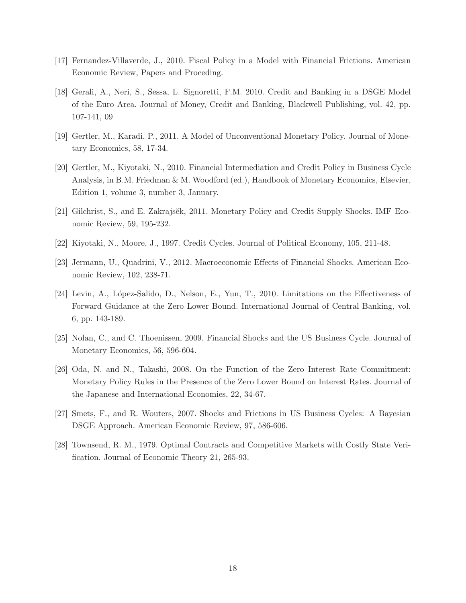- [17] Fernandez-Villaverde, J., 2010. Fiscal Policy in a Model with Financial Frictions. American Economic Review, Papers and Proceding.
- [18] Gerali, A., Neri, S., Sessa, L. Signoretti, F.M. 2010. Credit and Banking in a DSGE Model of the Euro Area. Journal of Money, Credit and Banking, Blackwell Publishing, vol. 42, pp. 107-141, 09
- [19] Gertler, M., Karadi, P., 2011. A Model of Unconventional Monetary Policy. Journal of Monetary Economics, 58, 17-34.
- [20] Gertler, M., Kiyotaki, N., 2010. Financial Intermediation and Credit Policy in Business Cycle Analysis, in B.M. Friedman & M. Woodford (ed.), Handbook of Monetary Economics, Elsevier, Edition 1, volume 3, number 3, January.
- [21] Gilchrist, S., and E. Zakrajsĕk, 2011. Monetary Policy and Credit Supply Shocks. IMF Economic Review, 59, 195-232.
- [22] Kiyotaki, N., Moore, J., 1997. Credit Cycles. Journal of Political Economy, 105, 211-48.
- [23] Jermann, U., Quadrini, V., 2012. Macroeconomic Effects of Financial Shocks. American Economic Review, 102, 238-71.
- [24] Levin, A., López-Salido, D., Nelson, E., Yun, T., 2010. Limitations on the Effectiveness of Forward Guidance at the Zero Lower Bound. International Journal of Central Banking, vol. 6, pp. 143-189.
- [25] Nolan, C., and C. Thoenissen, 2009. Financial Shocks and the US Business Cycle. Journal of Monetary Economics, 56, 596-604.
- [26] Oda, N. and N., Takashi, 2008. On the Function of the Zero Interest Rate Commitment: Monetary Policy Rules in the Presence of the Zero Lower Bound on Interest Rates. Journal of the Japanese and International Economies, 22, 34-67.
- [27] Smets, F., and R. Wouters, 2007. Shocks and Frictions in US Business Cycles: A Bayesian DSGE Approach. American Economic Review, 97, 586-606.
- [28] Townsend, R. M., 1979. Optimal Contracts and Competitive Markets with Costly State Verification. Journal of Economic Theory 21, 265-93.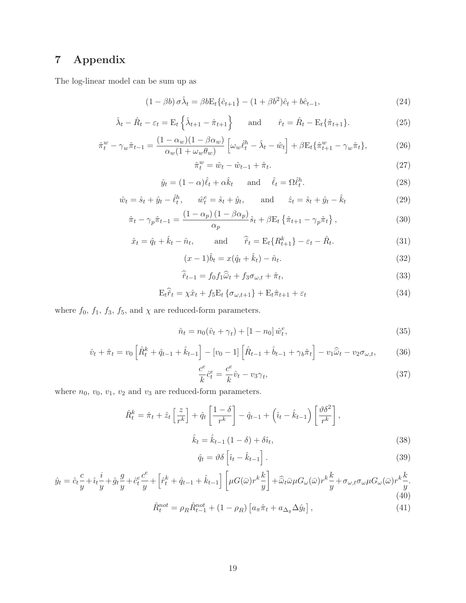# **7 Appendix**

The log-linear model can be sum up as

$$
(1 - \beta b)\,\sigma\hat{\lambda}_t = \beta b \mathcal{E}_t \{\hat{c}_{t+1}\} - (1 + \beta b^2)\hat{c}_t + b\hat{c}_{t-1},\tag{24}
$$

$$
\hat{\lambda}_t - \hat{R}_t - \varepsilon_t = \mathcal{E}_t \left\{ \hat{\lambda}_{t+1} - \hat{\pi}_{t+1} \right\} \quad \text{and} \quad \hat{r}_t = \hat{R}_t - \mathcal{E}_t \{ \hat{\pi}_{t+1} \}. \tag{25}
$$

$$
\hat{\pi}_t^w - \gamma_w \hat{\pi}_{t-1} = \frac{(1 - \alpha_w)(1 - \beta \alpha_w)}{\alpha_w (1 + \omega_w \theta_w)} \left[ \omega_w \hat{\ell}_t^h - \hat{\lambda}_t - \hat{w}_t \right] + \beta E_t \{ \hat{\pi}_{t+1}^w - \gamma_w \hat{\pi}_t \},\tag{26}
$$

$$
\hat{\pi}_t^w = \hat{w}_t - \hat{w}_{t-1} + \hat{\pi}_t. \tag{27}
$$

$$
\hat{y}_t = (1 - \alpha)\hat{\ell}_t + \alpha \hat{k}_t \quad \text{and} \quad \hat{\ell}_t = \Omega \hat{\ell}_t^h. \tag{28}
$$

$$
\hat{w}_t = \hat{s}_t + \hat{y}_t - \hat{\ell}_t^h, \qquad \hat{w}_t^e = \hat{s}_t + \hat{y}_t, \qquad \text{and} \qquad \hat{z}_t = \hat{s}_t + \hat{y}_t - \hat{k}_t \tag{29}
$$

$$
\hat{\pi}_t - \gamma_p \hat{\pi}_{t-1} = \frac{(1 - \alpha_p)(1 - \beta \alpha_p)}{\alpha_p} \hat{s}_t + \beta \mathcal{E}_t \left\{ \hat{\pi}_{t+1} - \gamma_p \hat{\pi}_t \right\},\tag{30}
$$

$$
\hat{x}_t = \hat{q}_t + \hat{k}_t - \hat{n}_t,
$$
 and  $\hat{r}_t = E_t \{R_{t+1}^k\} - \varepsilon_t - \hat{R}_t.$  (31)

$$
(x-1)\hat{b}_t = x(\hat{q}_t + \hat{k}_t) - \hat{n}_t.
$$
\n(32)

$$
\widehat{\widetilde{r}}_{t-1} = f_0 f_1 \widehat{\omega}_t + f_3 \sigma_{\omega, t} + \widehat{\pi}_t,\tag{33}
$$

$$
E_t \hat{r}_t = \chi \hat{x}_t + f_5 E_t \{ \sigma_{\omega, t+1} \} + E_t \hat{\pi}_{t+1} + \varepsilon_t
$$
\n(34)

where  $f_0$ ,  $f_1$ ,  $f_3$ ,  $f_5$ , and  $\chi$  are reduced-form parameters.

$$
\hat{n}_t = n_0(\hat{v}_t + \gamma_t) + [1 - n_0] \hat{w}_t^e,\tag{35}
$$

$$
\hat{v}_t + \hat{\pi}_t = v_0 \left[ \hat{R}_t^k + \hat{q}_{t-1} + \hat{k}_{t-1} \right] - [v_0 - 1] \left[ \hat{R}_{t-1} + \hat{b}_{t-1} + \gamma_b \hat{\pi}_t \right] - v_1 \hat{\bar{\omega}}_t - v_2 \sigma_{\omega, t},
$$
(36)

$$
\frac{c^e}{k}\hat{c}_t^e = \frac{c^e}{k}\hat{v}_t - v_3\gamma_t,\tag{37}
$$

where  $n_0$ ,  $v_0$ ,  $v_1$ ,  $v_2$  and  $v_3$  are reduced-form parameters.

$$
\hat{R}_t^k = \hat{\pi}_t + \hat{z}_t \left[ \frac{z}{r^k} \right] + \hat{q}_t \left[ \frac{1 - \delta}{r^k} \right] - \hat{q}_{t-1} + \left( \hat{i}_t - \hat{k}_{t-1} \right) \left[ \frac{\vartheta \delta^2}{r^k} \right],
$$
\n
$$
\hat{k}_t = \hat{k}_{t-1} \left( 1 - \delta \right) + \delta \hat{i}_t,
$$
\n(38)

$$
\hat{q}_t = \vartheta \delta \left[ \hat{i}_t - \hat{k}_{t-1} \right]. \tag{39}
$$

$$
\hat{y}_t = \hat{c}_t \frac{c}{y} + \hat{i}_t \frac{i}{y} + \hat{g}_t \frac{g}{y} + \hat{c}_t^e \frac{c^e}{y} + \left[ \hat{r}_t^k + \hat{q}_{t-1} + \hat{k}_{t-1} \right] \left[ \mu G(\bar{\omega}) r^k \frac{k}{y} \right] + \hat{\bar{\omega}}_t \bar{\omega} \mu G_{\omega}(\bar{\omega}) r^k \frac{k}{y} + \sigma_{\omega, t} \sigma_{\omega} \mu G_{\omega}(\bar{\omega}) r^k \frac{k}{y}.
$$
\n(40)

$$
\hat{R}_t^{not} = \rho_R \hat{R}_{t-1}^{not} + (1 - \rho_R) \left[ a_\pi \hat{\pi}_t + a_{\Delta_y} \Delta \hat{y}_t \right],\tag{41}
$$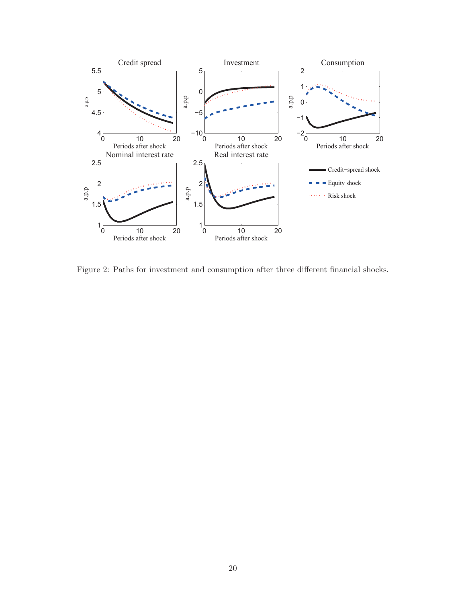

Figure 2: Paths for investment and consumption after three different financial shocks.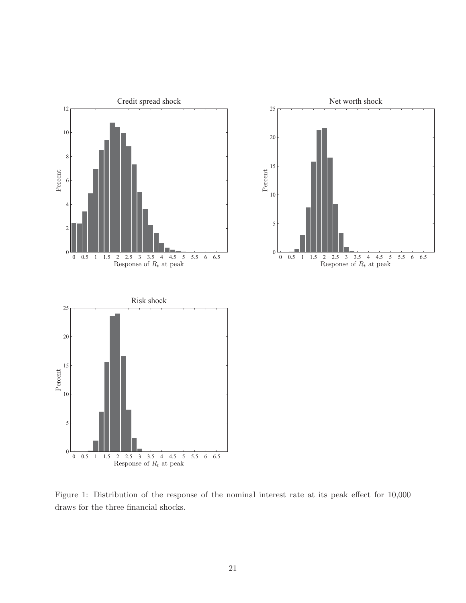

Figure 1: Distribution of the response of the nominal interest rate at its peak effect for 10,000 draws for the three financial shocks.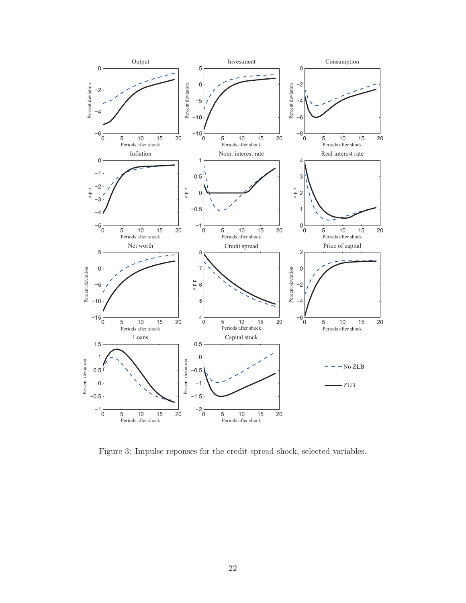

Figure 3: Impulse reponses for the credit-spread shock, selected variables.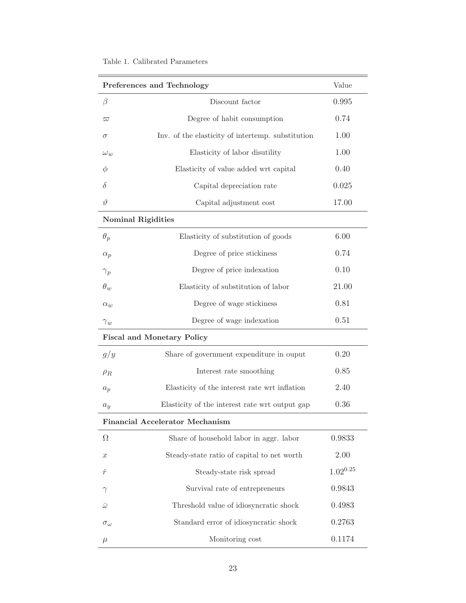| Preferences and Technology        |                                                   | Value         |
|-----------------------------------|---------------------------------------------------|---------------|
| $\beta$                           | Discount factor                                   | 0.995         |
| $\varpi$                          | Degree of habit consumption                       | 0.74          |
| $\sigma$                          | Inv. of the elasticity of intertemp. substitution | 1.00          |
| $\omega_w$                        | Elasticity of labor disutility                    | 1.00          |
| Φ                                 | Elasticity of value added wrt capital             | 0.40          |
| δ                                 | Capital depreciation rate                         | 0.025         |
| $\vartheta$                       | Capital adjustment cost                           | 17.00         |
| <b>Nominal Rigidities</b>         |                                                   |               |
| $\theta_p$                        | Elasticity of substitution of goods               | 6.00          |
| $\alpha_p$                        | Degree of price stickiness                        | 0.74          |
| $\gamma_p$                        | Degree of price indexation                        | 0.10          |
| $\theta_w$                        | Elasticity of substitution of labor               | 21.00         |
| $\alpha_w$                        | Degree of wage stickiness                         | 0.81          |
| $\gamma_w$                        | Degree of wage indexation                         | 0.51          |
| <b>Fiscal and Monetary Policy</b> |                                                   |               |
| g/y                               | Share of government expenditure in ouput          | 0.20          |
| $\rho_R$                          | Interest rate smoothing                           | 0.85          |
| $a_p$                             | Elasticity of the interest rate wrt inflation     | 2.40          |
| $a_y$                             | Elasticity of the interest rate wrt output gap    | 0.36          |
| Financial Accelerator Mechanism   |                                                   |               |
| $\Omega$                          | Share of household labor in aggr. labor           | 0.9833        |
| $\boldsymbol{x}$                  | Steady-state ratio of capital to net worth        | 2.00          |
| ř                                 | Steady-state risk spread                          | $1.02^{0.25}$ |
| $\gamma$                          | Survival rate of entrepreneurs                    | 0.9843        |
| $\bar{\omega}$                    | Threshold value of idiosyncratic shock            | 0.4983        |
| $\sigma_{\omega}$                 | Standard error of idiosyncratic shock             | 0.2763        |
| $\mu$                             | Monitoring cost                                   | 0.1174        |

÷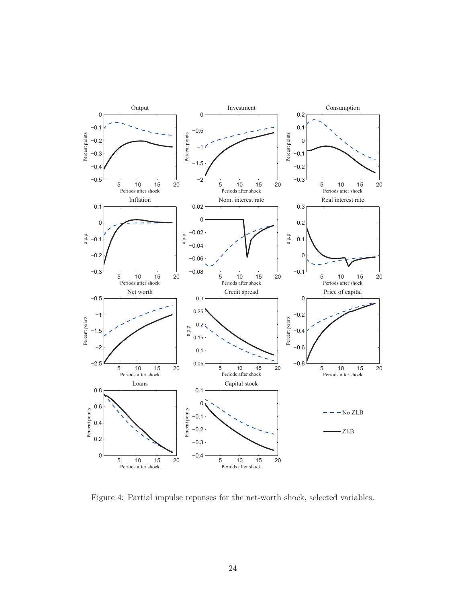

Figure 4: Partial impulse reponses for the net-worth shock, selected variables.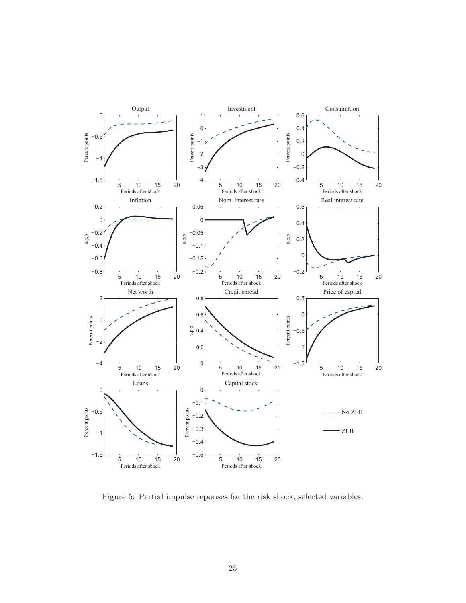

Figure 5: Partial impulse reponses for the risk shock, selected variables.